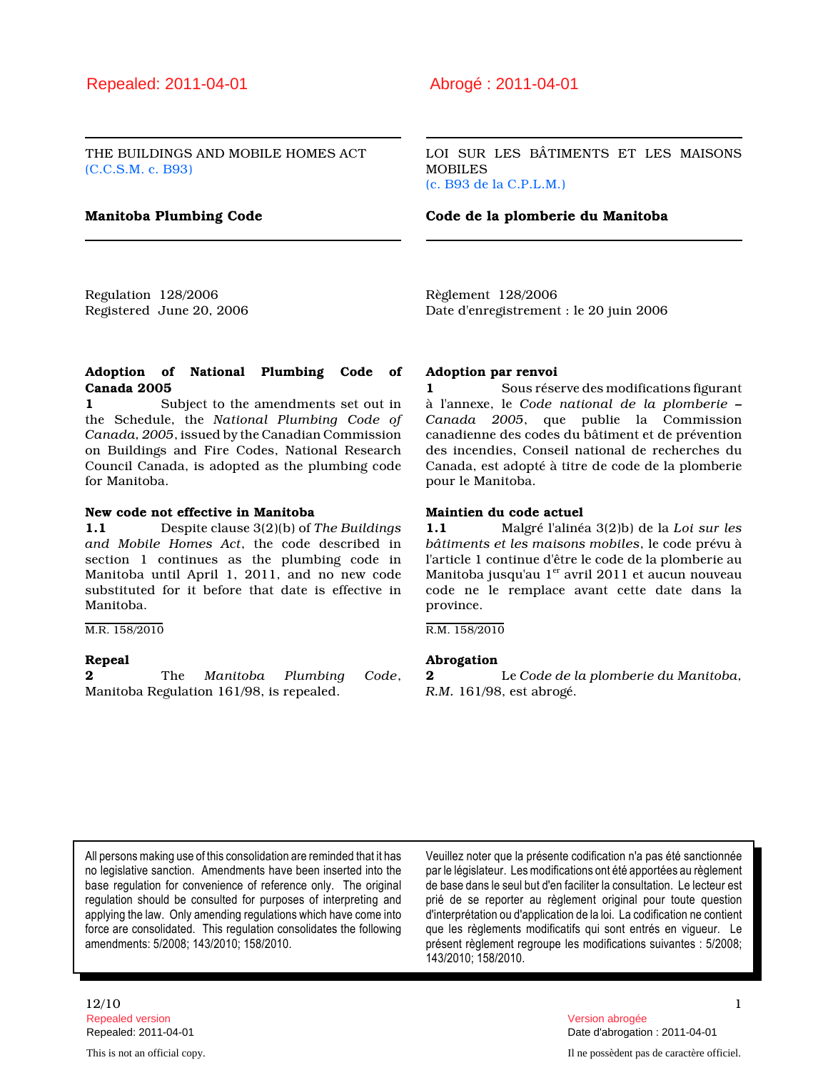THE BUILDINGS AND MOBILE HOMES ACT (C.C.S.M. c. B93)

LOI SUR LES BÂTIMENTS ET LES MAISONS **MOBILES** (c. B93 de la C.P.L.M.)

#### Manitoba Plumbing Code Code de la plomberie du Manitoba

Regulation 128/2006 Registered June 20, 2006 Règlement 128/2006 Date d'enregistrement : le 20 juin 2006

#### Adoption of National Plumbing Code of Canada 2005

1 Subject to the amendments set out in the Schedule, the National Plumbing Code of Canada, 2005, issued by the Canadian Commission on Buildings and Fire Codes, National Research Council Canada, is adopted as the plumbing code for Manitoba.

# New code not effective in Manitoba

1.1 Despite clause 3(2)(b) of The Buildings and Mobile Homes Act, the code described in section 1 continues as the plumbing code in Manitoba until April 1, 2011, and no new code substituted for it before that date is effective in Manitoba.

M.R. 158/2010

#### Repeal

2 The Manitoba Plumbing Code, Manitoba Regulation 161/98, is repealed.

#### Adoption par renvoi

1 Sous réserve des modifications figurant à l'annexe, le Code national de la plomberie – Canada 2005, que publie la Commission canadienne des codes du bâtiment et de prévention des incendies, Conseil national de recherches du Canada, est adopté à titre de code de la plomberie pour le Manitoba.

### Maintien du code actuel

1.1 Malgré l'alinéa 3(2)b) de la Loi sur les bâtiments et les maisons mobiles, le code prévu à l'article 1 continue d'être le code de la plomberie au Manitoba jusqu'au  $1<sup>er</sup>$  avril 2011 et aucun nouveau code ne le remplace avant cette date dans la province.

R.M. 158/2010

#### Abrogation

2 Le Code de la plomberie du Manitoba, R.M. 161/98, est abrogé.

All persons making use of this consolidation are reminded that it has no legislative sanction. Amendments have been inserted into the base regulation for convenience of reference only. The original regulation should be consulted for purposes of interpreting and applying the law. Only amending regulations which have come into force are consolidated. This regulation consolidates the following amendments: 5/2008; 143/2010; 158/2010.

Veuillez noter que la présente codification n'a pas été sanctionnée par le législateur. Les modifications ont été apportées au règlement de base dans le seul but d'en faciliter la consultation. Le lecteur est prié de se reporter au règlement original pour toute question d'interprétation ou d'application de la loi. La codification ne contient que les règlements modificatifs qui sont entrés en vigueur. Le présent règlement regroupe les modifications suivantes : 5/2008; 143/2010; 158/2010.

# $12/10$  1 Repealed version Version abrogée

Repealed: 2011-04-01 Date d'abrogation : 2011-04-01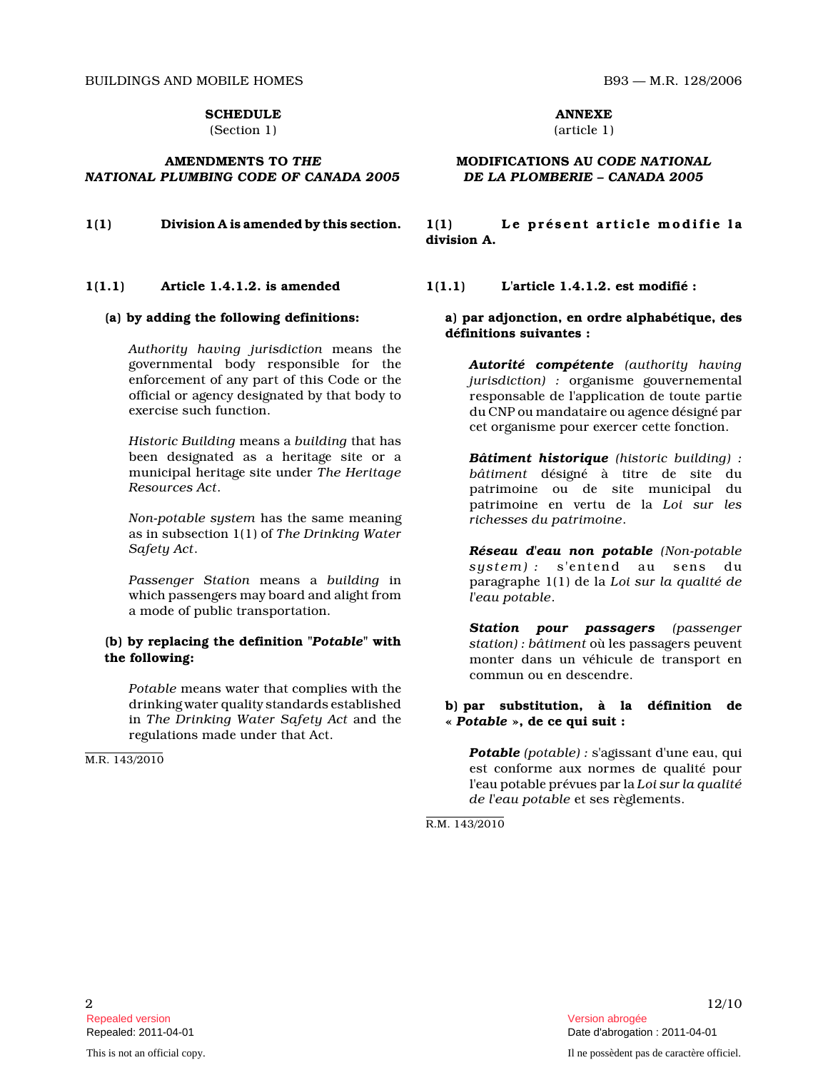BUILDINGS AND MOBILE HOMES B93 — M.R. 128/2006

#### **SCHEDULE**

(Section 1)

## AMENDMENTS TO THE NATIONAL PLUMBING CODE OF CANADA 2005

#### 1(1.1) Article 1.4.1.2. is amended

#### (a) by adding the following definitions:

Authority having jurisdiction means the governmental body responsible for the enforcement of any part of this Code or the official or agency designated by that body to exercise such function.

Historic Building means a building that has been designated as a heritage site or a municipal heritage site under The Heritage Resources Act .

Non-potable system has the same meaning as in subsection 1(1) of The Drinking Water Safety Act .

Passenger Station means a building in which passengers may board and alight from a mode of public transportation.

#### (b) by replacing the definition "Potable" with the following:

Potable means water that complies with the drinking water quality standards established in The Drinking Water Safety Act and the regulations made under that Act.

M.R. 143/2010

ANNEXE (article 1)

### MODIFICATIONS AU CODE NATIONAL DE LA PLOMBERIE – CANADA 2005

 $1(1)$  Division A is amended by this section.  $1(1)$  Le présent article modifie la division A.

1(1.1) L'article 1.4.1.2. est modifié :

## a) par adjonction, en ordre alphabétique, des définitions suivantes :

Autorité compétente (authority having jurisdiction) : organisme gouvernemental responsable de l'application de toute partie du CNP ou mandataire ou agence désigné par cet organisme pour exercer cette fonction.

Bâtiment historique (historic building) : bâtiment désigné à titre de site du patrimoine ou de site municipal du patrimoine en vertu de la Loi sur les richesses du patrimoine .

Réseau d'eau non potable (Non-potable system) : s'entend au sens du paragraphe 1(1) de la Loi sur la qualité de l'eau potable .

Station pour passagers (passenger station) : bâtiment où les passagers peuvent monter dans un véhicule de transport en commun ou en descendre.

## b) par substitution, à la définition de « Potable », de ce qui suit :

Potable (potable) : s'agissant d'une eau, qui est conforme aux normes de qualité pour l'eau potable prévues par la Loi sur la qualité de l'eau potable et ses règlements.

R.M. 143/2010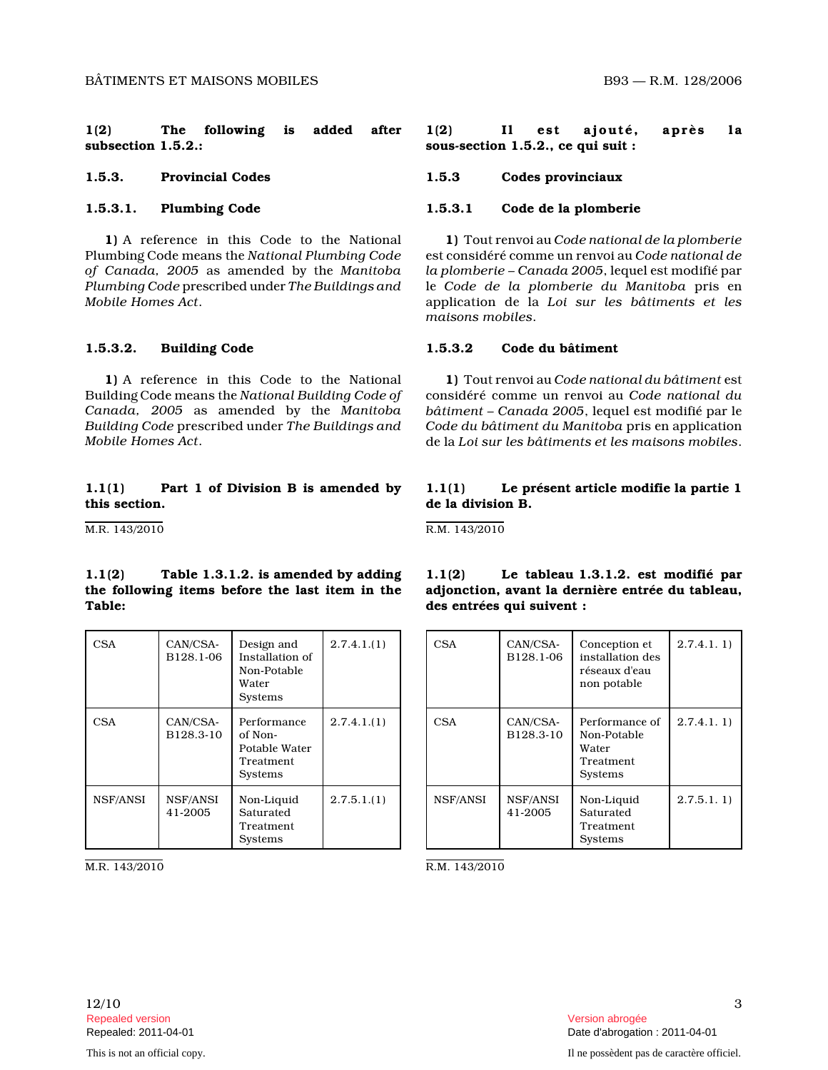1(2) The following is added after subsection 1.5.2.:

# 1.5.3.1. Plumbing Code

1) A reference in this Code to the National Plumbing Code means the National Plumbing Code of Canada, 2005 as amended by the Manitoba Plumbing Code prescribed under The Buildings and Mobile Homes Act .

#### 1.5.3.2. Building Code

1) A reference in this Code to the National Building Code means the National Building Code of Canada, 2005 as amended by the Manitoba Building Code prescribed under The Buildings and Mobile Homes Act .

# 1.1(1) Part 1 of Division B is amended by this section.

M.R. 143/2010

## $1.1(2)$  Table 1.3.1.2. is amended by adding the following items before the last item in the Table:

| <b>CSA</b> | CAN/CSA-<br>B128.1-06 | Design and<br>Installation of<br>Non-Potable<br>Water<br><b>Systems</b> | 2.7.4.1(1) |
|------------|-----------------------|-------------------------------------------------------------------------|------------|
| <b>CSA</b> | CAN/CSA-<br>B128.3-10 | Performance<br>of Non-<br>Potable Water<br>Treatment<br><b>Systems</b>  | 2.7.4.1(1) |
| NSF/ANSI   | NSF/ANSI<br>41-2005   | Non-Liquid<br>Saturated<br>Treatment<br>Systems                         | 2.7.5.1(1) |

M.R. 143/2010

1(2) Il est ajouté, après la sous-section 1.5.2., ce qui suit :

1.5.3. Provincial Codes 1.5.3 Codes provinciaux

## 1.5.3.1 Code de la plomberie

1) Tout renvoi au Code national de la plomberie est considéré comme un renvoi au Code national de la plomberie – Canada 2005, lequel est modifié par le Code de la plomberie du Manitoba pris en application de la Loi sur les bâtiments et les maisons mobiles .

#### 1.5.3.2 Code du bâtiment

1) Tout renvoi au Code national du bâtiment est considéré comme un renvoi au Code national du bâtiment – Canada 2005, lequel est modifié par le Code du bâtiment du Manitoba pris en application de la Loi sur les bâtiments et les maisons mobiles .

# 1.1(1) Le présent article modifie la partie 1 de la division B.

1.1(2) Le tableau 1.3.1.2. est modifié par adjonction, avant la dernière entrée du tableau,

R.M. 143/2010

des entrées qui suivent :

| <b>CSA</b> | CAN/CSA-<br>B128.1-06 | Conception et<br>installation des<br>réseaux d'eau<br>non potable     | 2.7.4.1.1) |
|------------|-----------------------|-----------------------------------------------------------------------|------------|
| CSA        | CAN/CSA-<br>B128.3-10 | Performance of<br>Non-Potable<br>Water<br>Treatment<br><b>Systems</b> | 2.7.4.1.1) |
| NSF/ANSI   | NSF/ANSI<br>41-2005   | Non-Liquid<br>Saturated<br>Treatment<br>Systems                       | 2.7.5.1.1  |

R.M. 143/2010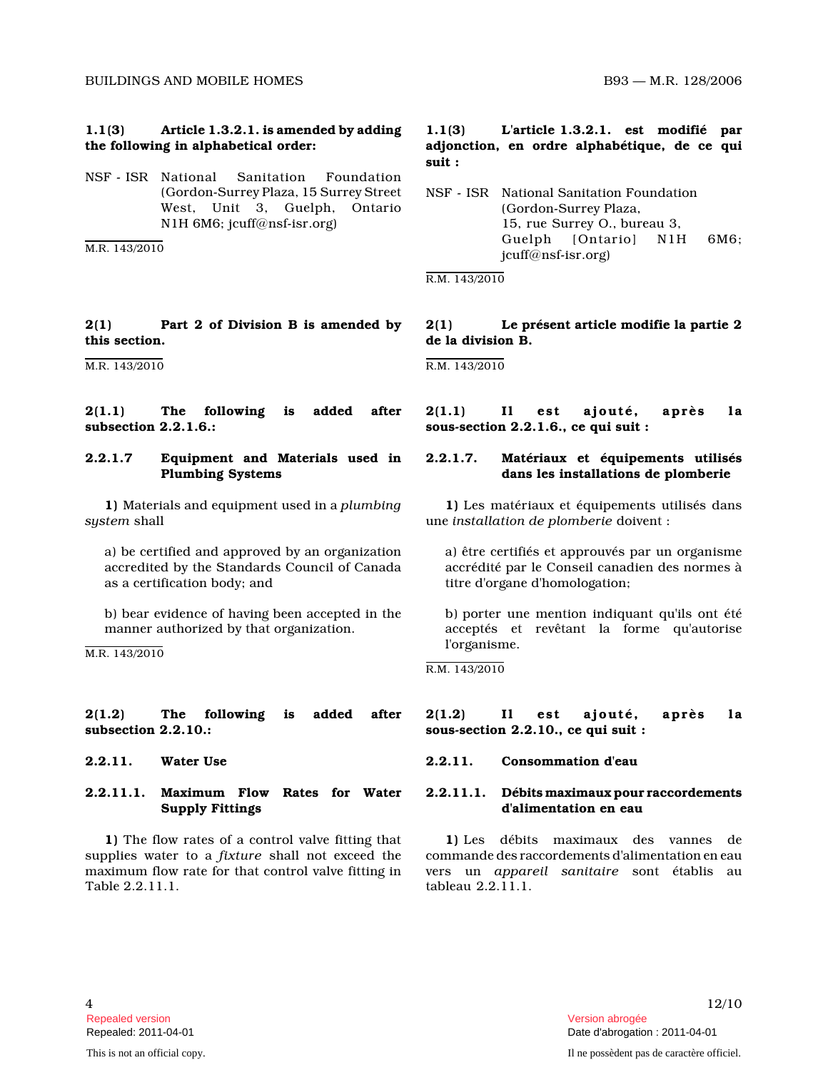## 1.1(3) Article 1.3.2.1. is amended by adding the following in alphabetical order:

NSF - ISR National Sanitation Foundation (Gordon-Surrey Plaza, 15 Surrey Street West, Unit 3, Guelph, Ontario N1H 6M6; jcuff@nsf-isr.org)

M.R. 143/2010

# 2(1) Part 2 of Division B is amended by this section.

M.R. 143/2010

2(1.1) The following is added after subsection 2.2.1.6.:

## 2.2.1.7 Equipment and Materials used in Plumbing Systems

1) Materials and equipment used in a plumbing system shall

a) be certified and approved by an organization accredited by the Standards Council of Canada as a certification body; and

b) bear evidence of having been accepted in the manner authorized by that organization.

M.R. 143/2010

## 2(1.2) The following is added after subsection 2.2.10.:

# 2.2.11.1. Maximum Flow Rates for Water Supply Fittings

1) The flow rates of a control valve fitting that supplies water to a fixture shall not exceed the maximum flow rate for that control valve fitting in Table 2.2.11.1.

# 1.1(3) L'article 1.3.2.1. est modifié par adjonction, en ordre alphabétique, de ce qui suit :

NSF - ISR National Sanitation Foundation (Gordon-Surrey Plaza, 15, rue Surrey O., bureau 3, Guelph [Ontario] N1H 6M6; jcuff@nsf-isr.org)

R.M. 143/2010

# 2(1) Le présent article modifie la partie 2 de la division B.

R.M. 143/2010

2(1.1) Il est ajouté, après la sous-section 2.2.1.6., ce qui suit :

# 2.2.1.7. Matériaux et équipements utilisés dans les installations de plomberie

1) Les matériaux et équipements utilisés dans une installation de plomberie doivent :

a) être certifiés et approuvés par un organisme accrédité par le Conseil canadien des normes à titre d'organe d'homologation;

b) porter une mention indiquant qu'ils ont été acceptés et revêtant la forme qu'autorise l'organisme.

R.M. 143/2010

2(1.2) Il est ajouté, après la sous-section 2.2.10., ce qui suit :

# 2.2.11. Water Use 2.2.11. Consommation d'eau

## 2.2.11.1. Débits maximaux pour raccordements d'alimentation en eau

1) Les débits maximaux des vannes de commande des raccordements d'alimentation en eau vers un appareil sanitaire sont établis au tableau 2.2.11.1.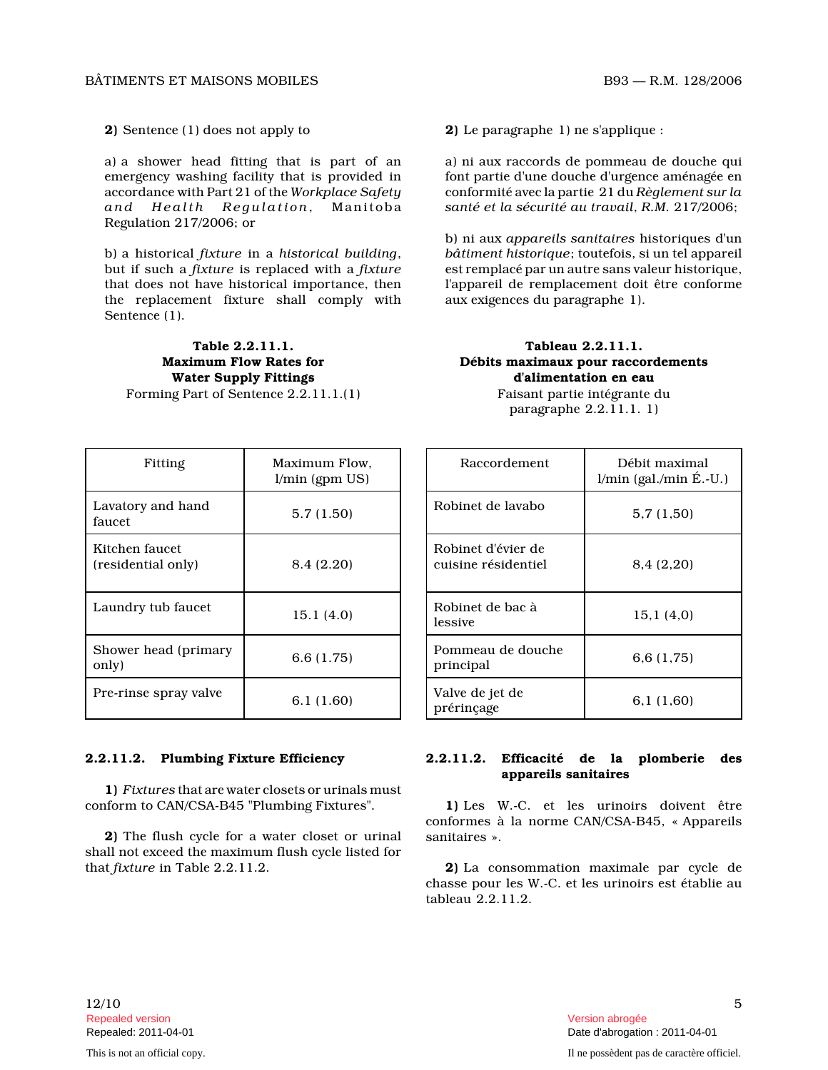2) Sentence (1) does not apply to

a) a shower head fitting that is part of an emergency washing facility that is provided in accordance with Part 21 of the Workplace Safety and Health Requlation, Manitoba Regulation 217/2006; or

b) a historical fixture in a historical building , but if such a fixture is replaced with a fixture that does not have historical importance, then the replacement fixture shall comply with Sentence  $(1)$ .

Table 2.2.11.1. Maximum Flow Rates for Water Supply Fittings Forming Part of Sentence 2.2.11.1.(1)

| Fitting                              | Maximum Flow.<br>$l/min$ (gpm $US$ ) |
|--------------------------------------|--------------------------------------|
| Lavatory and hand<br>faucet          | 5.7(1.50)                            |
| Kitchen faucet<br>(residential only) | 8.4 (2.20)                           |
| Laundry tub faucet                   | 15.1(4.0)                            |
| Shower head (primary<br>only)        | 6.6(1.75)                            |
| Pre-rinse spray valve                | 6.1 (1.60)                           |

# 2.2.11.2. Plumbing Fixture Efficiency

1) Fixtures that are water closets or urinals must conform to CAN/CSA-B45 "Plumbing Fixtures".

2) The flush cycle for a water closet or urinal shall not exceed the maximum flush cycle listed for that fixture in Table 2.2.11.2.

2) Le paragraphe 1) ne s'applique :

a) ni aux raccords de pommeau de douche qui font partie d'une douche d'urgence aménagée en conformité avec la partie 21 du Règlement sur la santé et la sécurité au travail, R.M. 217/2006;

b) ni aux appareils sanitaires historiques d'un bâtiment historique; toutefois, si un tel appareil est remplacé par un autre sans valeur historique, l'appareil de remplacement doit être conforme aux exigences du paragraphe 1).

# Tableau 2.2.11.1. Débits maximaux pour raccordements d'alimentation en eau

| Raccordement                              | Débit maximal<br>$l/min$ (gal./min É.-U.) |
|-------------------------------------------|-------------------------------------------|
| Robinet de lavabo                         | 5,7(1,50)                                 |
| Robinet d'évier de<br>cuisine résidentiel | 8,4 (2,20)                                |
| Robinet de bac à<br>lessive               | 15.1 (4.0)                                |
| Pommeau de douche<br>principal            | 6.6 (1.75)                                |
| Valve de jet de<br>prérinçage             | 6,1 (1,60)                                |

# Faisant partie intégrante du paragraphe 2.2.11.1. 1)

### 2.2.11.2. Efficacité de la plomberie des appareils sanitaires

1) Les W.-C. et les urinoirs doivent être conformes à la norme CAN/CSA-B45, « Appareils sanitaires ».

2) La consommation maximale par cycle de chasse pour les W.-C. et les urinoirs est établie a u tableau 2.2.11.2.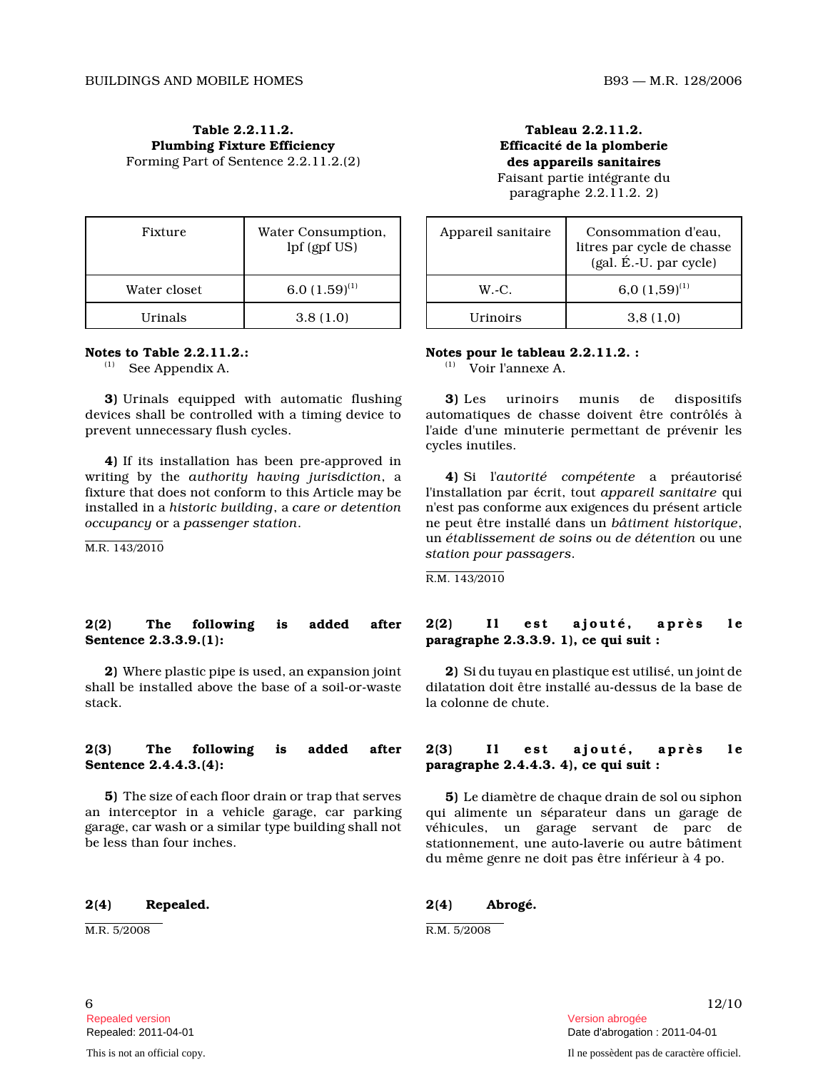Table 2.2.11.2. Plumbing Fixture Efficiency Forming Part of Sentence 2.2.11.2.(2)

| Fixture         | Water Consumption,<br>lpf (gpf US) |
|-----------------|------------------------------------|
| Water closet    | 6.0 $(1.59)^{(1)}$                 |
| <b>H</b> rinals | 3.8(1.0)                           |

#### Notes to Table 2.2.11.2.:

(1) See Appendix A.

3) Urinals equipped with automatic flushing devices shall be controlled with a timing device to prevent unnecessary flush cycles.

4) If its installation has been pre-approved in writing by the authority having jurisdiction, a fixture that does not conform to this Article may b e installed in a historic building, a care or detention occupancy or a passenger station .

M.R. 143/2010

#### 2(2) The following is added after Sentence 2.3.3.9.(1):

2) Where plastic pipe is used, an expansion joint shall be installed above the base of a soil-or-wast e stack.

## 2(3) The following is added after Sentence 2.4.4.3.(4):

5) The size of each floor drain or trap that serves an interceptor in a vehicle garage, car parking garage, car wash or a similar type building shall not be less than four inches.

#### 2(4) Repealed.

M.R. 5/2008

Tableau 2.2.11.2. Efficacité de la plomberie des appareils sanitaires

Faisant partie intégrante du paragraphe 2.2.11.2. 2)

| Appareil sanitaire | Consommation d'eau,<br>litres par cycle de chasse<br>(gal. É.-U. par cycle) |
|--------------------|-----------------------------------------------------------------------------|
| $W.-C.$            | 6,0 $(1,59)^{(1)}$                                                          |
| <b>H</b> rinoirs   | 3.8(1.0)                                                                    |

#### Notes pour le tableau 2.2.11.2. :

 $\overline{V}$  Voir l'annexe A.

3) Les urinoirs munis de dispositifs automatiques de chasse doivent être contrôlés à l'aide d'une minuterie permettant de prévenir les cycles inutiles.

4) Si l'autorité compétente a préautorisé l'installation par écrit, tout appareil sanitaire qui n'est pas conforme aux exigences du présent article ne peut être installé dans un bâtiment historique , un établissement de soins ou de détention ou une station pour passagers .

R.M. 143/2010

### $2(2)$  Il est ajouté, après le paragraphe 2.3.3.9. 1), ce qui suit :

2) Si du tuyau en plastique est utilisé, un joint de dilatation doit être installé au-dessus de la base de la colonne de chute.

#### $2(3)$  Il est ajouté, après le paragraphe 2.4.4.3. 4), ce qui suit :

5) Le diamètre de chaque drain de sol ou siphon qui alimente un séparateur dans un garage de véhicules, un garage servant de parc de stationnement, une auto-laverie ou autre bâtiment du même genre ne doit pas être inférieur à 4 po.

#### 2(4) Abrogé.

R.M. 5/2008

Repealed version abrogée et al. Alian abrogée et al. Alian abrogée et al. Alian abrogée et al. Alian abrogée e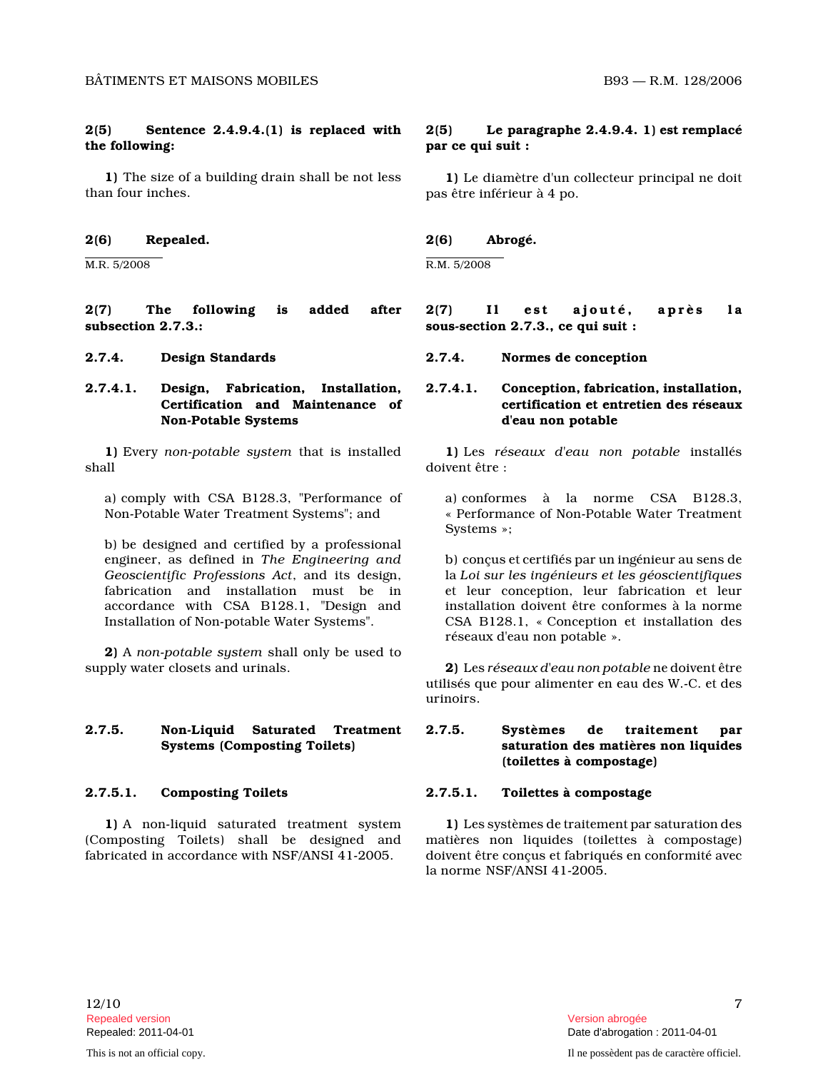# 2(5) Sentence 2.4.9.4.(1) is replaced with the following:

1) The size of a building drain shall be not less than four inches.

## 2(6) Repealed.

M.R. 5/2008

2(7) The following is added after subsection 2.7.3.:

# 2.7.4.1. Design, Fabrication, Installation, Certification and Maintenance of Non-Potable Systems

1) Every non-potable system that is installed shall

a) comply with CSA B128.3, "Performance of Non-Potable Water Treatment Systems"; and

b) be designed and certified by a professional engineer, as defined in The Engineering and Geoscientific Professions Act, and its design, fabrication and installation must be in accordance with CSA B128.1, "Design and Installation of Non-potable Water Systems".

2) A non-potable system shall only be used to supply water closets and urinals.

# 2.7.5. Non-Liquid Saturated Treatment Systems (Composting Toilets)

# 2.7.5.1. Composting Toilets

1) A non-liquid saturated treatment system (Composting Toilets) shall be designed and fabricated in accordance with NSF/ANSI 41-2005.

# 2(5) Le paragraphe 2.4.9.4. 1) est remplacé par ce qui suit :

1) Le diamètre d'un collecteur principal ne doit pas être inférieur à 4 po.

# 2(6) Abrogé.

R.M. 5/2008

2(7) Il est ajouté, après la sous-section 2.7.3., ce qui suit :

2.7.4. Design Standards 2.7.4. Normes de conception

# 2.7.4.1. Conception, fabrication, installation, certification et entretien des réseaux d'eau non potable

1) Les réseaux d'eau non potable installés doivent être :

a) conformes à la norme CSA B128.3, « Performance of Non-Potable Water Treatment Systems »;

b) conçus et certifiés par un ingénieur au sens de la Loi sur les ingénieurs et les géoscientifiques et leur conception, leur fabrication et leur installation doivent être conformes à la norme CSA B128.1, « Conception et installation des réseaux d'eau non potable ».

2) Les réseaux d'eau non potable ne doivent être utilisés que pour alimenter en eau des W.-C. et des urinoirs.

# 2.7.5. Systèmes de traitement par saturation des matières non liquides (toilettes à compostage)

# 2.7.5.1. Toilettes à compostage

1) Les systèmes de traitement par saturation des matières non liquides (toilettes à compostage) doivent être conçus et fabriqués en conformité avec la norme NSF/ANSI 41-2005.